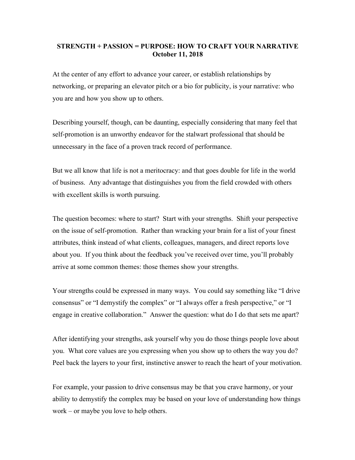## **STRENGTH + PASSION = PURPOSE: HOW TO CRAFT YOUR NARRATIVE October 11, 2018**

At the center of any effort to advance your career, or establish relationships by networking, or preparing an elevator pitch or a bio for publicity, is your narrative: who you are and how you show up to others.

Describing yourself, though, can be daunting, especially considering that many feel that self-promotion is an unworthy endeavor for the stalwart professional that should be unnecessary in the face of a proven track record of performance.

But we all know that life is not a meritocracy: and that goes double for life in the world of business. Any advantage that distinguishes you from the field crowded with others with excellent skills is worth pursuing.

The question becomes: where to start? Start with your strengths. Shift your perspective on the issue of self-promotion. Rather than wracking your brain for a list of your finest attributes, think instead of what clients, colleagues, managers, and direct reports love about you. If you think about the feedback you've received over time, you'll probably arrive at some common themes: those themes show your strengths.

Your strengths could be expressed in many ways. You could say something like "I drive consensus" or "I demystify the complex" or "I always offer a fresh perspective," or "I engage in creative collaboration." Answer the question: what do I do that sets me apart?

After identifying your strengths, ask yourself why you do those things people love about you. What core values are you expressing when you show up to others the way you do? Peel back the layers to your first, instinctive answer to reach the heart of your motivation.

For example, your passion to drive consensus may be that you crave harmony, or your ability to demystify the complex may be based on your love of understanding how things work – or maybe you love to help others.